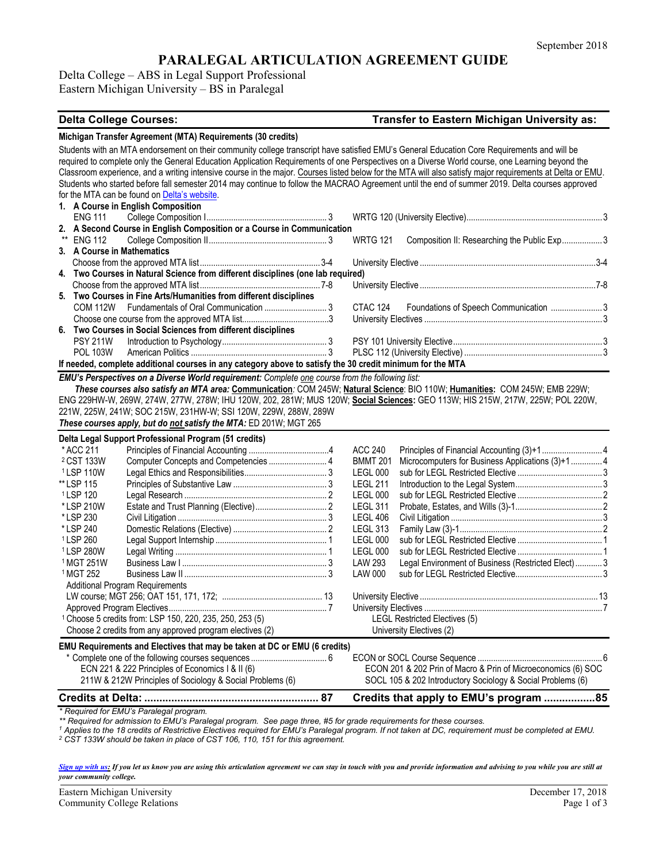# **PARALEGAL ARTICULATION AGREEMENT GUIDE**

Delta College – ABS in Legal Support Professional Eastern Michigan University – BS in Paralegal

### **Delta College Courses: Transfer to Eastern Michigan University as:**

|      |                                                                     | Michigan Transfer Agreement (MTA) Requirements (30 credits)                                                                                 |                                                                 |                                      |                                                                                                                                                                |  |
|------|---------------------------------------------------------------------|---------------------------------------------------------------------------------------------------------------------------------------------|-----------------------------------------------------------------|--------------------------------------|----------------------------------------------------------------------------------------------------------------------------------------------------------------|--|
|      |                                                                     | Students with an MTA endorsement on their community college transcript have satisfied EMU's General Education Core Requirements and will be |                                                                 |                                      |                                                                                                                                                                |  |
|      |                                                                     |                                                                                                                                             |                                                                 |                                      | required to complete only the General Education Application Requirements of one Perspectives on a Diverse World course, one Learning beyond the                |  |
|      |                                                                     |                                                                                                                                             |                                                                 |                                      | Classroom experience, and a writing intensive course in the major. Courses listed below for the MTA will also satisfy major requirements at Delta or EMU.      |  |
|      |                                                                     |                                                                                                                                             |                                                                 |                                      | Students who started before fall semester 2014 may continue to follow the MACRAO Agreement until the end of summer 2019. Delta courses approved                |  |
|      |                                                                     | for the MTA can be found on Delta's website.                                                                                                |                                                                 |                                      |                                                                                                                                                                |  |
|      |                                                                     |                                                                                                                                             |                                                                 |                                      |                                                                                                                                                                |  |
|      | 1. A Course in English Composition<br><b>ENG 111</b>                |                                                                                                                                             |                                                                 |                                      |                                                                                                                                                                |  |
|      |                                                                     | 2. A Second Course in English Composition or a Course in Communication                                                                      |                                                                 |                                      |                                                                                                                                                                |  |
| $**$ | <b>ENG 112</b>                                                      |                                                                                                                                             |                                                                 |                                      |                                                                                                                                                                |  |
|      |                                                                     |                                                                                                                                             | Composition II: Researching the Public Exp 3<br><b>WRTG 121</b> |                                      |                                                                                                                                                                |  |
|      | 3. A Course in Mathematics                                          |                                                                                                                                             |                                                                 |                                      |                                                                                                                                                                |  |
|      |                                                                     |                                                                                                                                             |                                                                 |                                      |                                                                                                                                                                |  |
|      |                                                                     | 4. Two Courses in Natural Science from different disciplines (one lab required)                                                             |                                                                 |                                      |                                                                                                                                                                |  |
|      |                                                                     |                                                                                                                                             |                                                                 |                                      |                                                                                                                                                                |  |
|      |                                                                     | 5. Two Courses in Fine Arts/Humanities from different disciplines                                                                           |                                                                 |                                      |                                                                                                                                                                |  |
|      |                                                                     |                                                                                                                                             |                                                                 | CTAC 124                             | Foundations of Speech Communication  3                                                                                                                         |  |
|      |                                                                     |                                                                                                                                             |                                                                 |                                      |                                                                                                                                                                |  |
|      |                                                                     | 6. Two Courses in Social Sciences from different disciplines                                                                                |                                                                 |                                      |                                                                                                                                                                |  |
|      | <b>PSY 211W</b>                                                     |                                                                                                                                             |                                                                 |                                      |                                                                                                                                                                |  |
|      | <b>POL 103W</b>                                                     |                                                                                                                                             |                                                                 |                                      |                                                                                                                                                                |  |
|      |                                                                     | If needed, complete additional courses in any category above to satisfy the 30 credit minimum for the MTA                                   |                                                                 |                                      |                                                                                                                                                                |  |
|      |                                                                     | EMU's Perspectives on a Diverse World requirement: Complete one course from the following list:                                             |                                                                 |                                      |                                                                                                                                                                |  |
|      |                                                                     |                                                                                                                                             |                                                                 |                                      | These courses also satisfy an MTA area: Communication: COM 245W; Natural Science: BIO 110W; Humanities: COM 245W; EMB 229W;                                    |  |
|      |                                                                     |                                                                                                                                             |                                                                 |                                      | ENG 229HW-W, 269W, 274W, 277W, 278W; IHU 120W, 202, 281W; MUS 120W; Social Sciences: GEO 113W; HIS 215W, 217W, 225W; POL 220W,                                 |  |
|      |                                                                     | 221W, 225W, 241W; SOC 215W, 231HW-W; SSI 120W, 229W, 288W, 289W                                                                             |                                                                 |                                      |                                                                                                                                                                |  |
|      |                                                                     | These courses apply, but do not satisfy the MTA: ED 201W; MGT 265                                                                           |                                                                 |                                      |                                                                                                                                                                |  |
|      |                                                                     |                                                                                                                                             |                                                                 |                                      |                                                                                                                                                                |  |
|      |                                                                     | Delta Legal Support Professional Program (51 credits)                                                                                       |                                                                 |                                      |                                                                                                                                                                |  |
|      | * ACC 211                                                           |                                                                                                                                             |                                                                 | <b>ACC 240</b>                       |                                                                                                                                                                |  |
|      | <sup>2</sup> CST 133W                                               | Computer Concepts and Competencies 4                                                                                                        |                                                                 | <b>BMMT 201</b>                      | Microcomputers for Business Applications (3)+1  4                                                                                                              |  |
|      | <sup>1</sup> LSP 110W                                               |                                                                                                                                             |                                                                 | LEGL 000                             |                                                                                                                                                                |  |
|      | ** LSP 115                                                          |                                                                                                                                             |                                                                 | <b>LEGL 211</b>                      |                                                                                                                                                                |  |
|      | <sup>1</sup> LSP 120                                                |                                                                                                                                             |                                                                 | LEGL 000                             |                                                                                                                                                                |  |
|      | *LSP 210W                                                           |                                                                                                                                             |                                                                 | <b>LEGL 311</b>                      |                                                                                                                                                                |  |
|      | *LSP 230                                                            |                                                                                                                                             |                                                                 | <b>LEGL 406</b>                      |                                                                                                                                                                |  |
|      | * LSP 240                                                           |                                                                                                                                             |                                                                 | <b>LEGL 313</b>                      |                                                                                                                                                                |  |
|      | <sup>1</sup> LSP 260                                                |                                                                                                                                             |                                                                 | LEGL 000                             |                                                                                                                                                                |  |
|      | <sup>1</sup> LSP 280W                                               |                                                                                                                                             |                                                                 | <b>LEGL 000</b>                      |                                                                                                                                                                |  |
|      | <sup>1</sup> MGT 251W                                               |                                                                                                                                             |                                                                 | <b>LAW 293</b>                       | Legal Environment of Business (Restricted Elect) 3                                                                                                             |  |
|      | <sup>1</sup> MGT 252                                                |                                                                                                                                             |                                                                 | <b>LAW 000</b>                       |                                                                                                                                                                |  |
|      |                                                                     |                                                                                                                                             |                                                                 |                                      |                                                                                                                                                                |  |
|      | <b>Additional Program Requirements</b>                              |                                                                                                                                             |                                                                 |                                      |                                                                                                                                                                |  |
|      | <sup>1</sup> Choose 5 credits from: LSP 150, 220, 235, 250, 253 (5) |                                                                                                                                             |                                                                 | <b>LEGL Restricted Electives (5)</b> |                                                                                                                                                                |  |
|      |                                                                     |                                                                                                                                             |                                                                 |                                      |                                                                                                                                                                |  |
|      |                                                                     |                                                                                                                                             |                                                                 |                                      |                                                                                                                                                                |  |
|      |                                                                     | Choose 2 credits from any approved program electives (2)                                                                                    |                                                                 |                                      | University Electives (2)                                                                                                                                       |  |
|      |                                                                     | EMU Requirements and Electives that may be taken at DC or EMU (6 credits)                                                                   |                                                                 |                                      |                                                                                                                                                                |  |
|      |                                                                     |                                                                                                                                             |                                                                 |                                      |                                                                                                                                                                |  |
|      |                                                                     | ECN 221 & 222 Principles of Economics I & II (6)                                                                                            |                                                                 |                                      | ECON 201 & 202 Prin of Macro & Prin of Microeconomics (6) SOC                                                                                                  |  |
|      |                                                                     | 211W & 212W Principles of Sociology & Social Problems (6)                                                                                   |                                                                 |                                      | SOCL 105 & 202 Introductory Sociology & Social Problems (6)                                                                                                    |  |
|      |                                                                     |                                                                                                                                             |                                                                 |                                      |                                                                                                                                                                |  |
|      |                                                                     |                                                                                                                                             |                                                                 |                                      | Credits that apply to EMU's program 85                                                                                                                         |  |
|      |                                                                     | * Required for EMU's Paralegal program.                                                                                                     |                                                                 |                                      |                                                                                                                                                                |  |
|      |                                                                     | ** Required for admission to EMU's Paralegal program. See page three, #5 for grade requirements for these courses.                          |                                                                 |                                      |                                                                                                                                                                |  |
|      |                                                                     |                                                                                                                                             |                                                                 |                                      | $^\text{1}$ Annlies to the 18 credits of Pestrictive Flectives required for FMII's Paralegal program If not taken at DC, requirement must be completed at FMII |  |

*<sup>1</sup> Applies to the 18 credits of Restrictive Electives required for EMU's Paralegal program. If not taken at DC, requirement must be completed at EMU.*

*<sup>2</sup> CST 133W should be taken in place of CST 106, 110, 151 for this agreement.* 

*[Sign up with us:](https://www.emich.edu/ccr/articulation-agreements/signup.php) If you let us know you are using this articulation agreement we can stay in touch with you and provide information and advising to you while you are still at your community college.* 

Eastern Michigan University<br>
Community College Relations<br>
Page 1 of 3 Community College Relations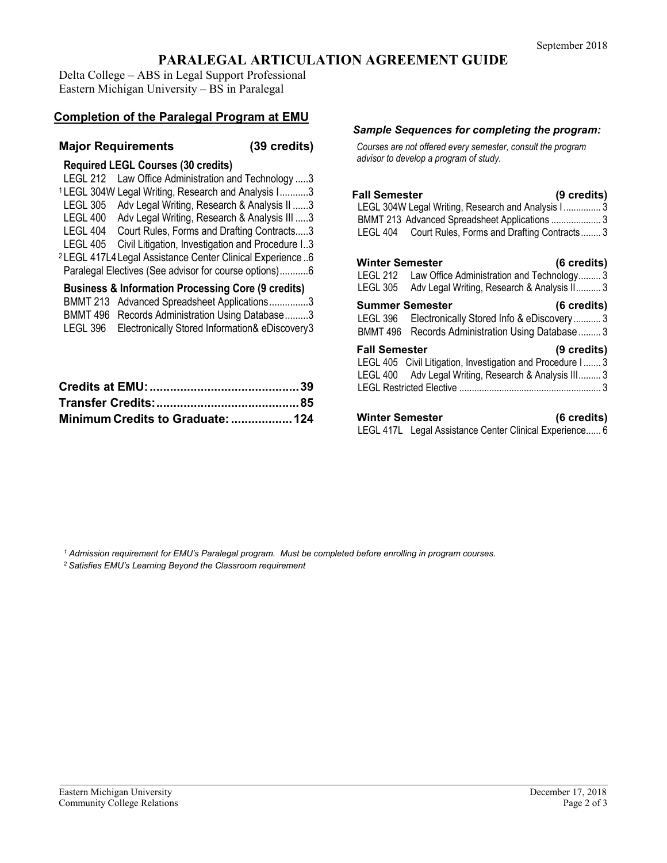# **PARALEGAL ARTICULATION AGREEMENT GUIDE**

Delta College – ABS in Legal Support Professional Eastern Michigan University – BS in Paralegal

# **Completion of the Paralegal Program at EMU**

## **Major Requirements (39 credits)**

| <b>Required LEGL Courses (30 credits)</b>                            |  |  |  |  |  |  |
|----------------------------------------------------------------------|--|--|--|--|--|--|
| Law Office Administration and Technology 3<br>LEGL 212               |  |  |  |  |  |  |
| <sup>1</sup> LEGL 304W Legal Writing, Research and Analysis I3       |  |  |  |  |  |  |
| <b>LEGL 305</b><br>Adv Legal Writing, Research & Analysis II 3       |  |  |  |  |  |  |
| LEGL 400 Adv Legal Writing, Research & Analysis III 3                |  |  |  |  |  |  |
| LEGL 404<br>Court Rules, Forms and Drafting Contracts3               |  |  |  |  |  |  |
| LEGL 405<br>Civil Litigation, Investigation and Procedure I3         |  |  |  |  |  |  |
| <sup>2</sup> LEGL 417L4 Legal Assistance Center Clinical Experience6 |  |  |  |  |  |  |
| Paralegal Electives (See advisor for course options)6                |  |  |  |  |  |  |
| <b>Business &amp; Information Processing Core (9 credits)</b>        |  |  |  |  |  |  |
| BMMT 213 Advanced Spreadsheet Applications3                          |  |  |  |  |  |  |
| BMMT 496 Records Administration Using Database3                      |  |  |  |  |  |  |

| <b>DIVIIVITE 420 INCORDS AUTHINISTIQUE USING DATABLE</b> |
|----------------------------------------------------------|
| LEGL 396 Electronically Stored Information& eDiscovery3  |
|                                                          |

| Minimum Credits to Graduate:  124 |  |
|-----------------------------------|--|

#### *Sample Sequences for completing the program:*

*Courses are not offered every semester, consult the program advisor to develop a program of study.*

| <b>Fall Semester</b><br>(9 credits)<br>LEGL 304W Legal Writing, Research and Analysis I 3<br>BMMT 213 Advanced Spreadsheet Applications  3<br>LEGL 404 Court Rules, Forms and Drafting Contracts 3 |
|----------------------------------------------------------------------------------------------------------------------------------------------------------------------------------------------------|
| <b>Winter Semester</b><br>(6 credits)<br>LEGL 212 Law Office Administration and Technology 3<br>LEGL 305 Adv Legal Writing, Research & Analysis II 3                                               |
| <b>Summer Semester</b><br>(6 credits)<br>Electronically Stored Info & eDiscovery 3<br>LEGL 396<br>BMMT 496 Records Administration Using Database  3                                                |
| <b>Fall Semester</b><br>(9 credits)<br>LEGL 405 Civil Litigation, Investigation and Procedure I 3<br>LEGL 400 Adv Legal Writing, Research & Analysis III 3                                         |
| <b>Winter Semester</b><br>(6 credits)<br>LEGL 417L Legal Assistance Center Clinical Experience 6                                                                                                   |

*<sup>1</sup> Admission requirement for EMU's Paralegal program. Must be completed before enrolling in program courses.*

*<sup>2</sup> Satisfies EMU's Learning Beyond the Classroom requirement*